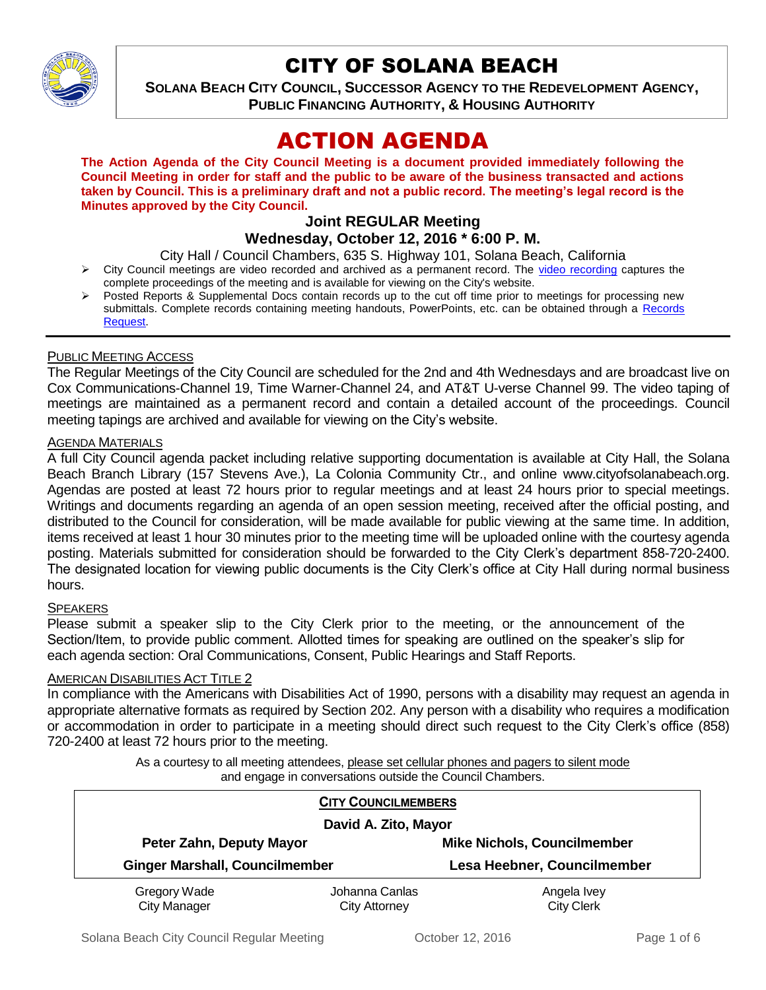

# CITY OF SOLANA BEACH

**SOLANA BEACH CITY COUNCIL, SUCCESSOR AGENCY TO THE REDEVELOPMENT AGENCY, PUBLIC FINANCING AUTHORITY, & HOUSING AUTHORITY** 

# ACTION AGENDA

**The Action Agenda of the City Council Meeting is a document provided immediately following the Council Meeting in order for staff and the public to be aware of the business transacted and actions taken by Council. This is a preliminary draft and not a public record. The meeting's legal record is the Minutes approved by the City Council.**

# **Joint REGULAR Meeting**

**Wednesday, October 12, 2016 \* 6:00 P. M.**

City Hall / Council Chambers, 635 S. Highway 101, Solana Beach, California

- $\triangleright$  City Council meetings are video recorded and archived as a permanent record. The [video recording](http://solanabeach.12milesout.com/#page=1) captures the complete proceedings of the meeting and is available for viewing on the City's website.
- Posted Reports & Supplemental Docs contain records up to the cut off time prior to meetings for processing new submittals. Complete records containing meeting handouts, PowerPoints, etc. can be obtained through a Records [Request.](http://www.ci.solana-beach.ca.us/index.asp?SEC=F5D45D10-70CE-4291-A27C-7BD633FC6742&Type=B_BASIC)

#### PUBLIC MEETING ACCESS

The Regular Meetings of the City Council are scheduled for the 2nd and 4th Wednesdays and are broadcast live on Cox Communications-Channel 19, Time Warner-Channel 24, and AT&T U-verse Channel 99. The video taping of meetings are maintained as a permanent record and contain a detailed account of the proceedings. Council meeting tapings are archived and available for viewing on the City's website.

#### **AGENDA MATERIALS**

A full City Council agenda packet including relative supporting documentation is available at City Hall, the Solana Beach Branch Library (157 Stevens Ave.), La Colonia Community Ctr., and online www.cityofsolanabeach.org. Agendas are posted at least 72 hours prior to regular meetings and at least 24 hours prior to special meetings. Writings and documents regarding an agenda of an open session meeting, received after the official posting, and distributed to the Council for consideration, will be made available for public viewing at the same time. In addition, items received at least 1 hour 30 minutes prior to the meeting time will be uploaded online with the courtesy agenda posting. Materials submitted for consideration should be forwarded to the City Clerk's department 858-720-2400. The designated location for viewing public documents is the City Clerk's office at City Hall during normal business hours.

#### **SPEAKERS**

Please submit a speaker slip to the City Clerk prior to the meeting, or the announcement of the Section/Item, to provide public comment. Allotted times for speaking are outlined on the speaker's slip for each agenda section: Oral Communications, Consent, Public Hearings and Staff Reports.

#### **AMERICAN DISABILITIES ACT TITLE 2**

In compliance with the Americans with Disabilities Act of 1990, persons with a disability may request an agenda in appropriate alternative formats as required by Section 202. Any person with a disability who requires a modification or accommodation in order to participate in a meeting should direct such request to the City Clerk's office (858) 720-2400 at least 72 hours prior to the meeting.

> As a courtesy to all meeting attendees, please set cellular phones and pagers to silent mode and engage in conversations outside the Council Chambers.

| <b>CITY COUNCILMEMBERS</b><br>David A. Zito, Mayor |                                        |                                    |
|----------------------------------------------------|----------------------------------------|------------------------------------|
| Peter Zahn, Deputy Mayor                           |                                        | <b>Mike Nichols, Councilmember</b> |
| <b>Ginger Marshall, Councilmember</b>              |                                        | Lesa Heebner, Councilmember        |
| Gregory Wade<br><b>City Manager</b>                | Johanna Canlas<br><b>City Attorney</b> | Angela Ivey<br><b>City Clerk</b>   |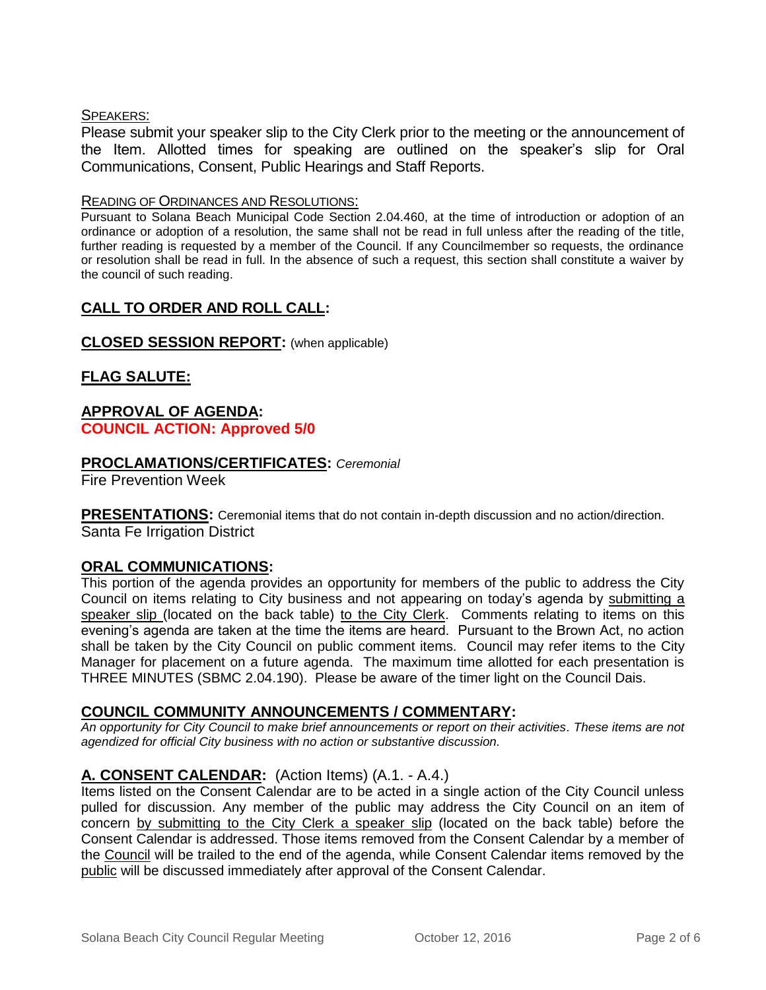#### SPEAKERS:

Please submit your speaker slip to the City Clerk prior to the meeting or the announcement of the Item. Allotted times for speaking are outlined on the speaker's slip for Oral Communications, Consent, Public Hearings and Staff Reports.

#### READING OF ORDINANCES AND RESOLUTIONS:

Pursuant to Solana Beach Municipal Code Section 2.04.460, at the time of introduction or adoption of an ordinance or adoption of a resolution, the same shall not be read in full unless after the reading of the title, further reading is requested by a member of the Council. If any Councilmember so requests, the ordinance or resolution shall be read in full. In the absence of such a request, this section shall constitute a waiver by the council of such reading.

## **CALL TO ORDER AND ROLL CALL:**

#### **CLOSED SESSION REPORT:** (when applicable)

## **FLAG SALUTE:**

## **APPROVAL OF AGENDA: COUNCIL ACTION: Approved 5/0**

## **PROCLAMATIONS/CERTIFICATES:** *Ceremonial*

Fire Prevention Week

**PRESENTATIONS:** Ceremonial items that do not contain in-depth discussion and no action/direction. Santa Fe Irrigation District

## **ORAL COMMUNICATIONS:**

This portion of the agenda provides an opportunity for members of the public to address the City Council on items relating to City business and not appearing on today's agenda by submitting a speaker slip (located on the back table) to the City Clerk. Comments relating to items on this evening's agenda are taken at the time the items are heard. Pursuant to the Brown Act, no action shall be taken by the City Council on public comment items. Council may refer items to the City Manager for placement on a future agenda. The maximum time allotted for each presentation is THREE MINUTES (SBMC 2.04.190). Please be aware of the timer light on the Council Dais.

## **COUNCIL COMMUNITY ANNOUNCEMENTS / COMMENTARY:**

*An opportunity for City Council to make brief announcements or report on their activities. These items are not agendized for official City business with no action or substantive discussion.* 

## **A. CONSENT CALENDAR:** (Action Items) (A.1. - A.4.)

Items listed on the Consent Calendar are to be acted in a single action of the City Council unless pulled for discussion. Any member of the public may address the City Council on an item of concern by submitting to the City Clerk a speaker slip (located on the back table) before the Consent Calendar is addressed. Those items removed from the Consent Calendar by a member of the Council will be trailed to the end of the agenda, while Consent Calendar items removed by the public will be discussed immediately after approval of the Consent Calendar.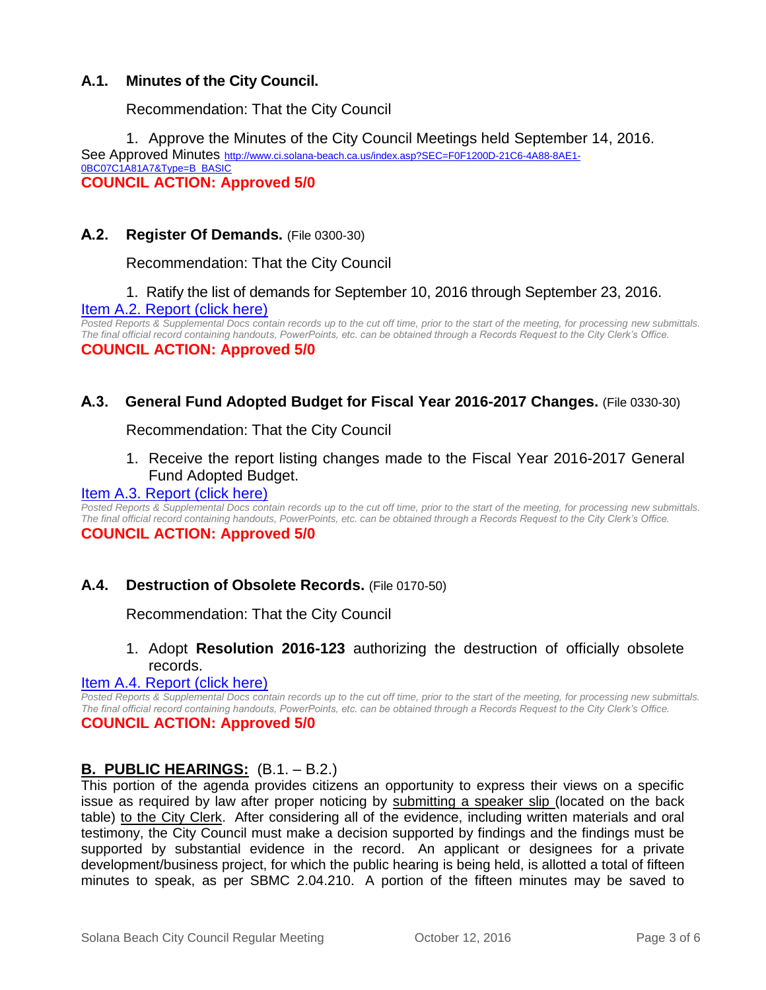## **A.1. Minutes of the City Council.**

Recommendation: That the City Council

1. Approve the Minutes of the City Council Meetings held September 14, 2016. See Approved Minutes [http://www.ci.solana-beach.ca.us/index.asp?SEC=F0F1200D-21C6-4A88-8AE1-](http://www.ci.solana-beach.ca.us/index.asp?SEC=F0F1200D-21C6-4A88-8AE1-0BC07C1A81A7&Type=B_BASIC) [0BC07C1A81A7&Type=B\\_BASIC](http://www.ci.solana-beach.ca.us/index.asp?SEC=F0F1200D-21C6-4A88-8AE1-0BC07C1A81A7&Type=B_BASIC) **COUNCIL ACTION: Approved 5/0**

## **A.2. Register Of Demands.** (File 0300-30)

Recommendation: That the City Council

## 1. Ratify the list of demands for September 10, 2016 through September 23, 2016. [Item A.2. Report \(click here\)](https://solanabeach.govoffice3.com/vertical/Sites/%7B840804C2-F869-4904-9AE3-720581350CE7%7D/uploads/Item_A.2._Report_(click_here)_-_10-12-16.pdf)

*Posted Reports & Supplemental Docs contain records up to the cut off time, prior to the start of the meeting, for processing new submittals. The final official record containing handouts, PowerPoints, etc. can be obtained through a Records Request to the City Clerk's Office.* **COUNCIL ACTION: Approved 5/0**

## **A.3. General Fund Adopted Budget for Fiscal Year 2016-2017 Changes.** (File 0330-30)

Recommendation: That the City Council

1. Receive the report listing changes made to the Fiscal Year 2016-2017 General Fund Adopted Budget.

#### [Item A.3. Report \(click here\)](https://solanabeach.govoffice3.com/vertical/Sites/%7B840804C2-F869-4904-9AE3-720581350CE7%7D/uploads/Item_A.3._Report_(click_here)_-_10-12-16.pdf)

*Posted Reports & Supplemental Docs contain records up to the cut off time, prior to the start of the meeting, for processing new submittals. The final official record containing handouts, PowerPoints, etc. can be obtained through a Records Request to the City Clerk's Office.*

#### **COUNCIL ACTION: Approved 5/0**

#### **A.4. Destruction of Obsolete Records.** (File 0170-50)

Recommendation: That the City Council

## 1. Adopt **Resolution 2016-123** authorizing the destruction of officially obsolete records.

#### [Item A.4. Report \(click here\)](https://solanabeach.govoffice3.com/vertical/Sites/%7B840804C2-F869-4904-9AE3-720581350CE7%7D/uploads/Item_A.4._Report_(click_here)_-_10-12-16.pdf)

*Posted Reports & Supplemental Docs contain records up to the cut off time, prior to the start of the meeting, for processing new submittals. The final official record containing handouts, PowerPoints, etc. can be obtained through a Records Request to the City Clerk's Office.*

## **COUNCIL ACTION: Approved 5/0**

## **B. PUBLIC HEARINGS:** (B.1. – B.2.)

This portion of the agenda provides citizens an opportunity to express their views on a specific issue as required by law after proper noticing by submitting a speaker slip (located on the back table) to the City Clerk. After considering all of the evidence, including written materials and oral testimony, the City Council must make a decision supported by findings and the findings must be supported by substantial evidence in the record. An applicant or designees for a private development/business project, for which the public hearing is being held, is allotted a total of fifteen minutes to speak, as per SBMC 2.04.210. A portion of the fifteen minutes may be saved to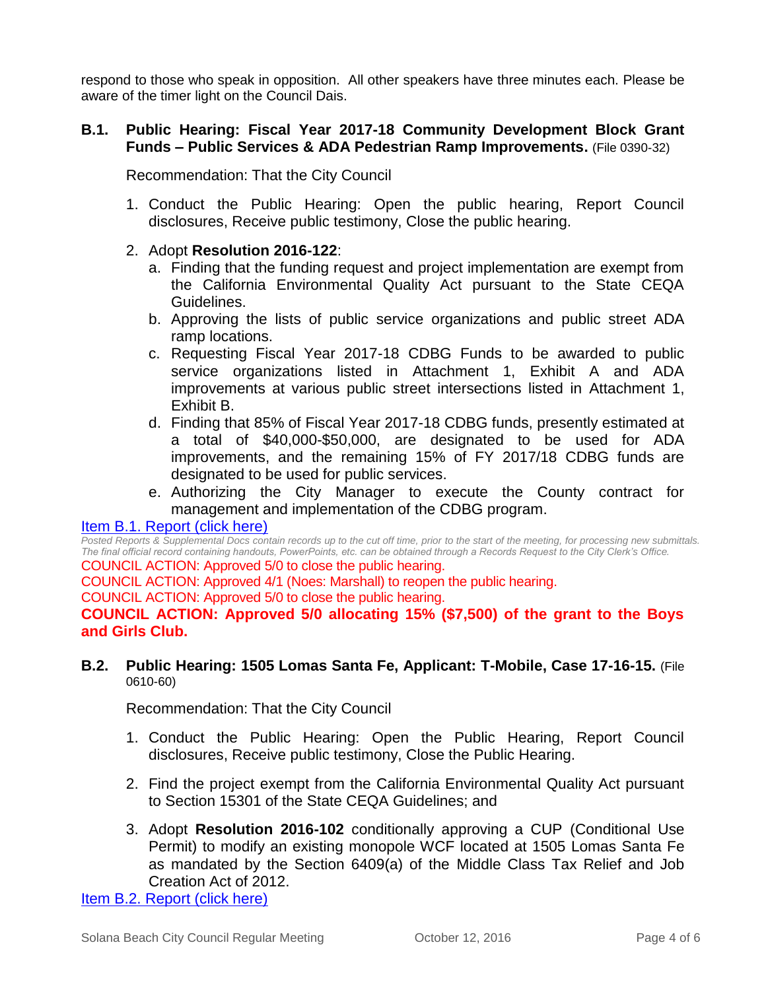respond to those who speak in opposition. All other speakers have three minutes each. Please be aware of the timer light on the Council Dais.

## **B.1. Public Hearing: Fiscal Year 2017-18 Community Development Block Grant Funds – Public Services & ADA Pedestrian Ramp Improvements.** (File 0390-32)

Recommendation: That the City Council

1. Conduct the Public Hearing: Open the public hearing, Report Council disclosures, Receive public testimony, Close the public hearing.

## 2. Adopt **Resolution 2016-122**:

- a. Finding that the funding request and project implementation are exempt from the California Environmental Quality Act pursuant to the State CEQA Guidelines.
- b. Approving the lists of public service organizations and public street ADA ramp locations.
- c. Requesting Fiscal Year 2017-18 CDBG Funds to be awarded to public service organizations listed in Attachment 1, Exhibit A and ADA improvements at various public street intersections listed in Attachment 1, Exhibit B.
- d. Finding that 85% of Fiscal Year 2017-18 CDBG funds, presently estimated at a total of \$40,000-\$50,000, are designated to be used for ADA improvements, and the remaining 15% of FY 2017/18 CDBG funds are designated to be used for public services.
- e. Authorizing the City Manager to execute the County contract for management and implementation of the CDBG program.

## [Item B.1. Report \(click here\)](https://solanabeach.govoffice3.com/vertical/Sites/%7B840804C2-F869-4904-9AE3-720581350CE7%7D/uploads/Item_B.1._Report_(click_here)_-_10-12-16.pdf)

*Posted Reports & Supplemental Docs contain records up to the cut off time, prior to the start of the meeting, for processing new submittals. The final official record containing handouts, PowerPoints, etc. can be obtained through a Records Request to the City Clerk's Office.* COUNCIL ACTION: Approved 5/0 to close the public hearing.

COUNCIL ACTION: Approved 4/1 (Noes: Marshall) to reopen the public hearing.

COUNCIL ACTION: Approved 5/0 to close the public hearing.

**COUNCIL ACTION: Approved 5/0 allocating 15% (\$7,500) of the grant to the Boys and Girls Club.** 

#### **B.2. Public Hearing: 1505 Lomas Santa Fe, Applicant: T-Mobile, Case 17-16-15.** (File 0610-60)

Recommendation: That the City Council

- 1. Conduct the Public Hearing: Open the Public Hearing, Report Council disclosures, Receive public testimony, Close the Public Hearing.
- 2. Find the project exempt from the California Environmental Quality Act pursuant to Section 15301 of the State CEQA Guidelines; and
- 3. Adopt **Resolution 2016-102** conditionally approving a CUP (Conditional Use Permit) to modify an existing monopole WCF located at 1505 Lomas Santa Fe as mandated by the Section 6409(a) of the Middle Class Tax Relief and Job Creation Act of 2012.

[Item B.2. Report \(click here\)](https://solanabeach.govoffice3.com/vertical/Sites/%7B840804C2-F869-4904-9AE3-720581350CE7%7D/uploads/Item_B.2._Report_(click_here)_-_10-12-16.pdf)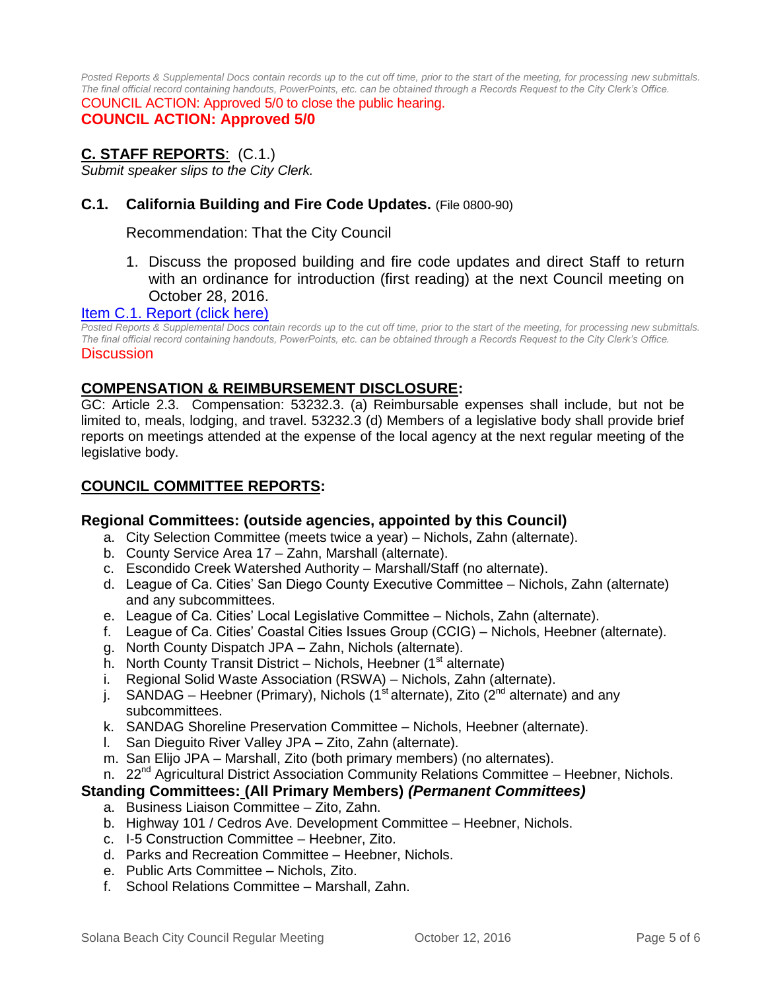*Posted Reports & Supplemental Docs contain records up to the cut off time, prior to the start of the meeting, for processing new submittals. The final official record containing handouts, PowerPoints, etc. can be obtained through a Records Request to the City Clerk's Office.*

COUNCIL ACTION: Approved 5/0 to close the public hearing. **COUNCIL ACTION: Approved 5/0**

# **C. STAFF REPORTS**: (C.1.)

*Submit speaker slips to the City Clerk.*

## **C.1. California Building and Fire Code Updates.** (File 0800-90)

Recommendation: That the City Council

1. Discuss the proposed building and fire code updates and direct Staff to return with an ordinance for introduction (first reading) at the next Council meeting on October 28, 2016.

#### [Item C.1. Report \(click here\)](https://solanabeach.govoffice3.com/vertical/Sites/%7B840804C2-F869-4904-9AE3-720581350CE7%7D/uploads/Item_C.1._Report_(click_here)_-_10-12-16.pdf)

*Posted Reports & Supplemental Docs contain records up to the cut off time, prior to the start of the meeting, for processing new submittals. The final official record containing handouts, PowerPoints, etc. can be obtained through a Records Request to the City Clerk's Office.* **Discussion** 

#### **COMPENSATION & REIMBURSEMENT DISCLOSURE:**

GC: Article 2.3. Compensation: 53232.3. (a) Reimbursable expenses shall include, but not be limited to, meals, lodging, and travel. 53232.3 (d) Members of a legislative body shall provide brief reports on meetings attended at the expense of the local agency at the next regular meeting of the legislative body.

#### **COUNCIL COMMITTEE REPORTS:**

#### **Regional Committees: (outside agencies, appointed by this Council)**

- a. City Selection Committee (meets twice a year) Nichols, Zahn (alternate).
- b. County Service Area 17 Zahn, Marshall (alternate).
- c. Escondido Creek Watershed Authority Marshall/Staff (no alternate).
- d. League of Ca. Cities' San Diego County Executive Committee Nichols, Zahn (alternate) and any subcommittees.
- e. League of Ca. Cities' Local Legislative Committee Nichols, Zahn (alternate).
- f. League of Ca. Cities' Coastal Cities Issues Group (CCIG) Nichols, Heebner (alternate).
- g. North County Dispatch JPA Zahn, Nichols (alternate).
- h. North County Transit District Nichols, Heebner  $(1<sup>st</sup>$  alternate)
- i. Regional Solid Waste Association (RSWA) Nichols, Zahn (alternate).
- j. SANDAG Heebner (Primary), Nichols (1<sup>st</sup> alternate), Zito ( $2^{nd}$  alternate) and any subcommittees.
- k. SANDAG Shoreline Preservation Committee Nichols, Heebner (alternate).
- l. San Dieguito River Valley JPA Zito, Zahn (alternate).
- m. San Elijo JPA Marshall, Zito (both primary members) (no alternates).
- n. 22<sup>nd</sup> Agricultural District Association Community Relations Committee Heebner, Nichols.

#### **Standing Committees: (All Primary Members)** *(Permanent Committees)*

- a. Business Liaison Committee Zito, Zahn.
- b. Highway 101 / Cedros Ave. Development Committee Heebner, Nichols.
- c. I-5 Construction Committee Heebner, Zito.
- d. Parks and Recreation Committee Heebner, Nichols.
- e. Public Arts Committee Nichols, Zito.
- f. School Relations Committee Marshall, Zahn.